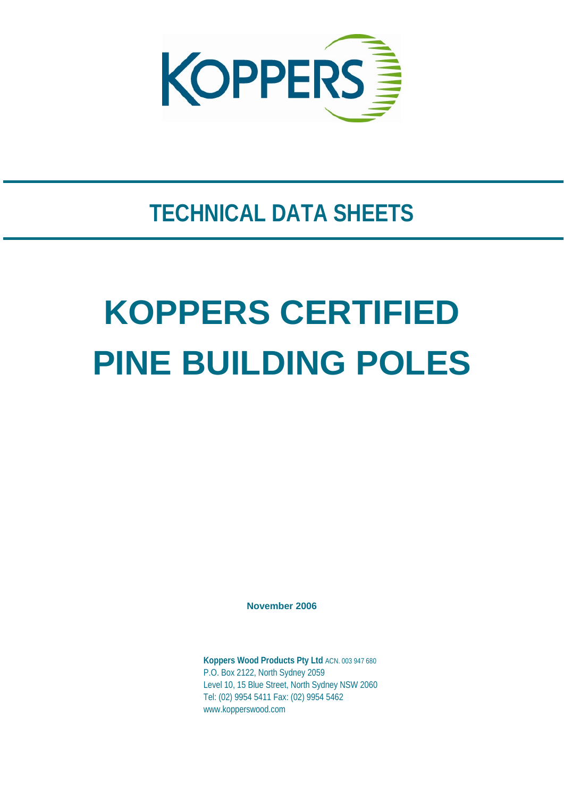

## **TECHNICAL DATA SHEETS**

# **KOPPERS CERTIFIED PINE BUILDING POLES**

**November 2006** 

**Koppers Wood Products Pty Ltd** ACN. 003 947 680 P.O. Box 2122, North Sydney 2059 Level 10, 15 Blue Street, North Sydney NSW 2060 Tel: (02) 9954 5411 Fax: (02) 9954 5462 www.kopperswood.com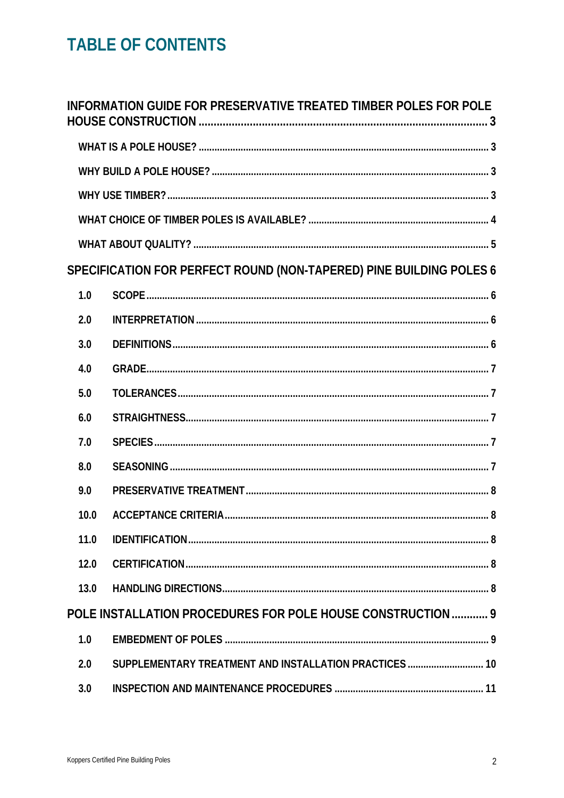## **TABLE OF CONTENTS**

|      | INFORMATION GUIDE FOR PRESERVATIVE TREATED TIMBER POLES FOR POLE    |  |
|------|---------------------------------------------------------------------|--|
|      |                                                                     |  |
|      |                                                                     |  |
|      |                                                                     |  |
|      |                                                                     |  |
|      |                                                                     |  |
|      | SPECIFICATION FOR PERFECT ROUND (NON-TAPERED) PINE BUILDING POLES 6 |  |
| 1.0  |                                                                     |  |
| 2.0  |                                                                     |  |
| 3.0  |                                                                     |  |
| 4.0  |                                                                     |  |
| 5.0  |                                                                     |  |
| 6.0  |                                                                     |  |
| 7.0  |                                                                     |  |
| 8.0  |                                                                     |  |
| 9.0  |                                                                     |  |
| 10.0 |                                                                     |  |
| 11.0 |                                                                     |  |
| 12.0 |                                                                     |  |
| 13.0 |                                                                     |  |
|      | POLE INSTALLATION PROCEDURES FOR POLE HOUSE CONSTRUCTION 9          |  |
| 1.0  |                                                                     |  |
| 2.0  | SUPPLEMENTARY TREATMENT AND INSTALLATION PRACTICES  10              |  |
| 3.0  |                                                                     |  |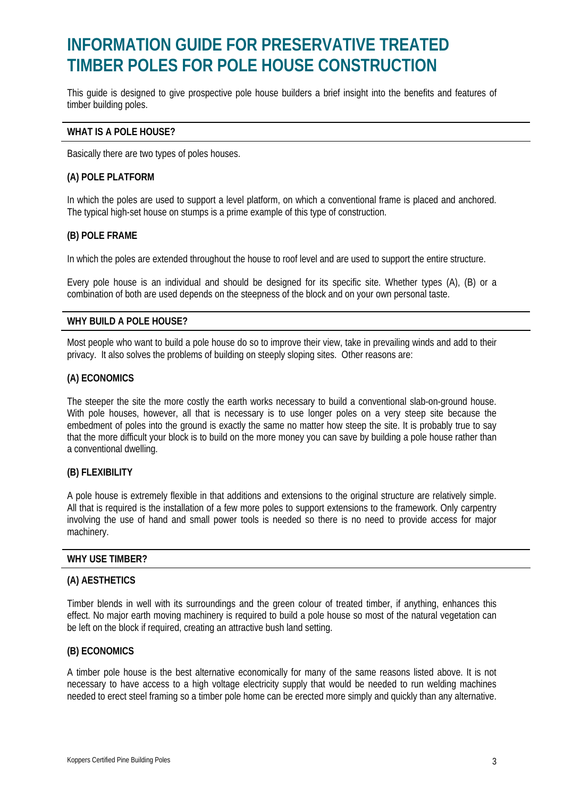### **INFORMATION GUIDE FOR PRESERVATIVE TREATED TIMBER POLES FOR POLE HOUSE CONSTRUCTION**

This guide is designed to give prospective pole house builders a brief insight into the benefits and features of timber building poles.

#### **WHAT IS A POLE HOUSE?**

Basically there are two types of poles houses.

#### **(A) POLE PLATFORM**

In which the poles are used to support a level platform, on which a conventional frame is placed and anchored. The typical high-set house on stumps is a prime example of this type of construction.

#### **(B) POLE FRAME**

In which the poles are extended throughout the house to roof level and are used to support the entire structure.

Every pole house is an individual and should be designed for its specific site. Whether types (A), (B) or a combination of both are used depends on the steepness of the block and on your own personal taste.

#### **WHY BUILD A POLE HOUSE?**

Most people who want to build a pole house do so to improve their view, take in prevailing winds and add to their privacy. It also solves the problems of building on steeply sloping sites. Other reasons are:

#### **(A) ECONOMICS**

The steeper the site the more costly the earth works necessary to build a conventional slab-on-ground house. With pole houses, however, all that is necessary is to use longer poles on a very steep site because the embedment of poles into the ground is exactly the same no matter how steep the site. It is probably true to say that the more difficult your block is to build on the more money you can save by building a pole house rather than a conventional dwelling.

#### **(B) FLEXIBILITY**

A pole house is extremely flexible in that additions and extensions to the original structure are relatively simple. All that is required is the installation of a few more poles to support extensions to the framework. Only carpentry involving the use of hand and small power tools is needed so there is no need to provide access for major machinery.

#### **WHY USE TIMBER?**

#### **(A) AESTHETICS**

Timber blends in well with its surroundings and the green colour of treated timber, if anything, enhances this effect. No major earth moving machinery is required to build a pole house so most of the natural vegetation can be left on the block if required, creating an attractive bush land setting.

#### **(B) ECONOMICS**

A timber pole house is the best alternative economically for many of the same reasons listed above. It is not necessary to have access to a high voltage electricity supply that would be needed to run welding machines needed to erect steel framing so a timber pole home can be erected more simply and quickly than any alternative.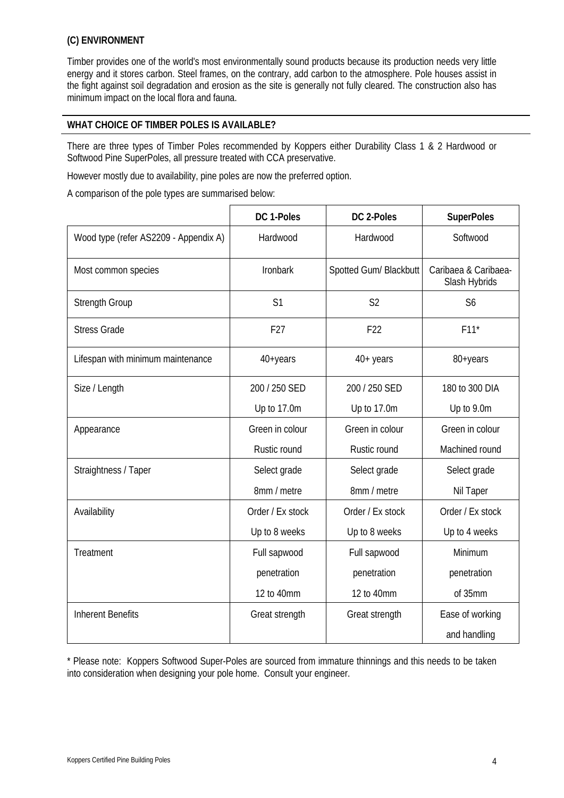#### **(C) ENVIRONMENT**

Timber provides one of the world's most environmentally sound products because its production needs very little energy and it stores carbon. Steel frames, on the contrary, add carbon to the atmosphere. Pole houses assist in the fight against soil degradation and erosion as the site is generally not fully cleared. The construction also has minimum impact on the local flora and fauna.

#### **WHAT CHOICE OF TIMBER POLES IS AVAILABLE?**

There are three types of Timber Poles recommended by Koppers either Durability Class 1 & 2 Hardwood or Softwood Pine SuperPoles, all pressure treated with CCA preservative.

However mostly due to availability, pine poles are now the preferred option.

A comparison of the pole types are summarised below:

|                                       | DC 1-Poles       | DC 2-Poles             | <b>SuperPoles</b>                     |
|---------------------------------------|------------------|------------------------|---------------------------------------|
| Wood type (refer AS2209 - Appendix A) | Hardwood         | Hardwood               | Softwood                              |
| Most common species                   | <b>Ironbark</b>  | Spotted Gum/ Blackbutt | Caribaea & Caribaea-<br>Slash Hybrids |
| <b>Strength Group</b>                 | S <sub>1</sub>   | S <sub>2</sub>         | S <sub>6</sub>                        |
| <b>Stress Grade</b>                   | F <sub>27</sub>  | F <sub>22</sub>        | $F11*$                                |
| Lifespan with minimum maintenance     | 40+years         | $40+$ years            | 80+years                              |
| Size / Length                         | 200 / 250 SED    | 200 / 250 SED          | 180 to 300 DIA                        |
|                                       | Up to 17.0m      | Up to 17.0m            | Up to 9.0m                            |
| Appearance                            | Green in colour  | Green in colour        | Green in colour                       |
|                                       | Rustic round     | Rustic round           | Machined round                        |
| Straightness / Taper                  | Select grade     | Select grade           | Select grade                          |
|                                       | 8mm / metre      | 8mm / metre            | Nil Taper                             |
| Availability                          | Order / Ex stock | Order / Ex stock       | Order / Ex stock                      |
|                                       | Up to 8 weeks    | Up to 8 weeks          | Up to 4 weeks                         |
| Treatment                             | Full sapwood     | Full sapwood           | Minimum                               |
|                                       | penetration      | penetration            | penetration                           |
|                                       | 12 to 40mm       | 12 to 40mm             | of 35mm                               |
| <b>Inherent Benefits</b>              | Great strength   | Great strength         | Ease of working                       |
|                                       |                  |                        | and handling                          |

\* Please note: Koppers Softwood Super-Poles are sourced from immature thinnings and this needs to be taken into consideration when designing your pole home. Consult your engineer.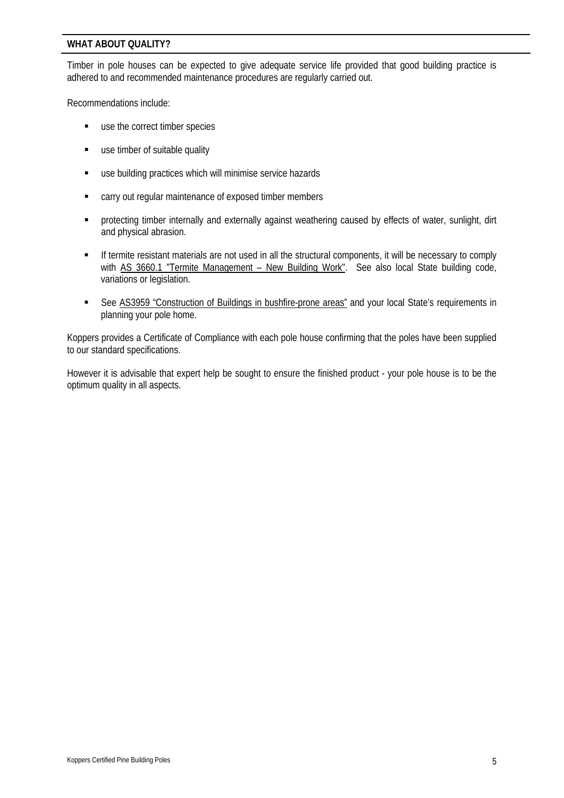#### **WHAT ABOUT QUALITY?**

Timber in pole houses can be expected to give adequate service life provided that good building practice is adhered to and recommended maintenance procedures are regularly carried out.

Recommendations include:

- use the correct timber species
- **use timber of suitable quality**
- use building practices which will minimise service hazards
- carry out regular maintenance of exposed timber members
- protecting timber internally and externally against weathering caused by effects of water, sunlight, dirt and physical abrasion.
- If termite resistant materials are not used in all the structural components, it will be necessary to comply with AS 3660.1 "Termite Management - New Building Work". See also local State building code, variations or legislation.
- See AS3959 "Construction of Buildings in bushfire-prone areas" and your local State's requirements in planning your pole home.

Koppers provides a Certificate of Compliance with each pole house confirming that the poles have been supplied to our standard specifications.

However it is advisable that expert help be sought to ensure the finished product - your pole house is to be the optimum quality in all aspects.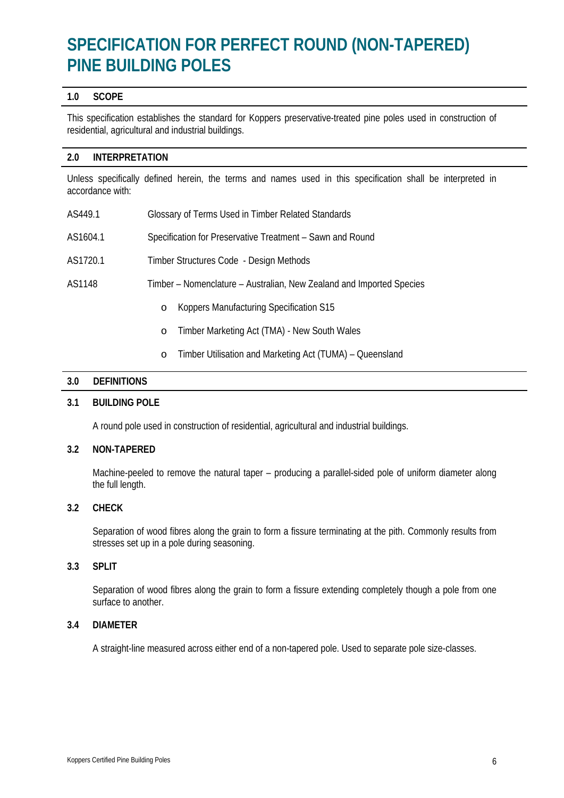## **SPECIFICATION FOR PERFECT ROUND (NON-TAPERED) PINE BUILDING POLES**

#### **1.0 SCOPE**

This specification establishes the standard for Koppers preservative-treated pine poles used in construction of residential, agricultural and industrial buildings.

#### **2.0 INTERPRETATION**

Unless specifically defined herein, the terms and names used in this specification shall be interpreted in accordance with:

| AS449.1  | Glossary of Terms Used in Timber Related Standards                   |  |
|----------|----------------------------------------------------------------------|--|
| AS1604.1 | Specification for Preservative Treatment - Sawn and Round            |  |
| AS1720.1 | Timber Structures Code - Design Methods                              |  |
| AS1148   | Timber – Nomenclature – Australian, New Zealand and Imported Species |  |
|          | Koppers Manufacturing Specification S15<br>$\circ$                   |  |
|          | Timber Marketing Act (TMA) - New South Wales<br>$\circ$              |  |

o Timber Utilisation and Marketing Act (TUMA) – Queensland

#### **3.0 DEFINITIONS**

#### **3.1 BUILDING POLE**

A round pole used in construction of residential, agricultural and industrial buildings.

#### **3.2 NON-TAPERED**

 Machine-peeled to remove the natural taper – producing a parallel-sided pole of uniform diameter along the full length.

#### **3.2 CHECK**

 Separation of wood fibres along the grain to form a fissure terminating at the pith. Commonly results from stresses set up in a pole during seasoning.

#### **3.3 SPLIT**

 Separation of wood fibres along the grain to form a fissure extending completely though a pole from one surface to another.

#### **3.4 DIAMETER**

A straight-line measured across either end of a non-tapered pole. Used to separate pole size-classes.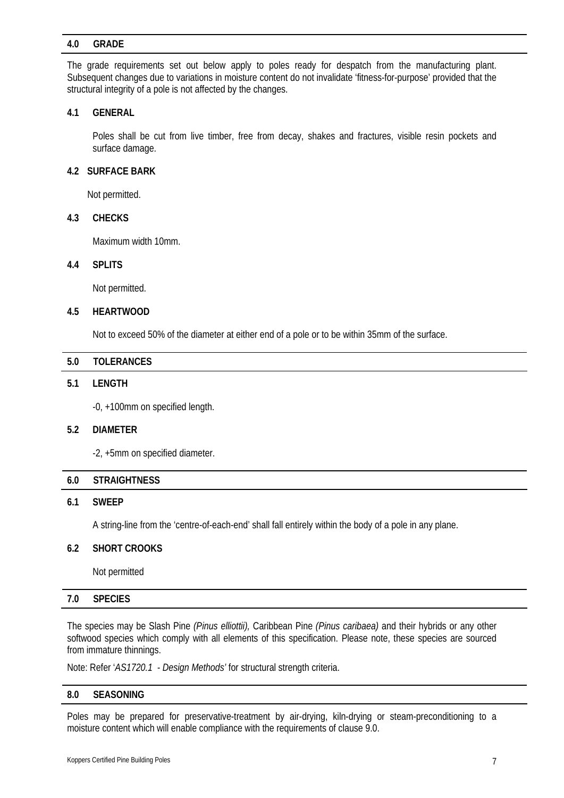#### **4.0 GRADE**

The grade requirements set out below apply to poles ready for despatch from the manufacturing plant. Subsequent changes due to variations in moisture content do not invalidate 'fitness-for-purpose' provided that the structural integrity of a pole is not affected by the changes.

#### **4.1 GENERAL**

 Poles shall be cut from live timber, free from decay, shakes and fractures, visible resin pockets and surface damage.

#### **4.2 SURFACE BARK**

Not permitted.

#### **4.3 CHECKS**

Maximum width 10mm.

#### **4.4 SPLITS**

Not permitted.

#### **4.5 HEARTWOOD**

Not to exceed 50% of the diameter at either end of a pole or to be within 35mm of the surface.

| 5.0 | <b>TOLERANCES</b> |  |
|-----|-------------------|--|
|     |                   |  |

#### **5.1 LENGTH**

-0, +100mm on specified length.

#### **5.2 DIAMETER**

-2, +5mm on specified diameter.

#### **6.0 STRAIGHTNESS**

#### **6.1 SWEEP**

A string-line from the 'centre-of-each-end' shall fall entirely within the body of a pole in any plane.

#### **6.2 SHORT CROOKS**

Not permitted

#### **7.0 SPECIES**

The species may be Slash Pine *(Pinus elliottii),* Caribbean Pine *(Pinus caribaea)* and their hybrids or any other softwood species which comply with all elements of this specification. Please note, these species are sourced from immature thinnings.

Note: Refer '*AS1720.1 - Design Methods'* for structural strength criteria.

#### **8.0 SEASONING**

Poles may be prepared for preservative-treatment by air-drying, kiln-drying or steam-preconditioning to a moisture content which will enable compliance with the requirements of clause 9.0.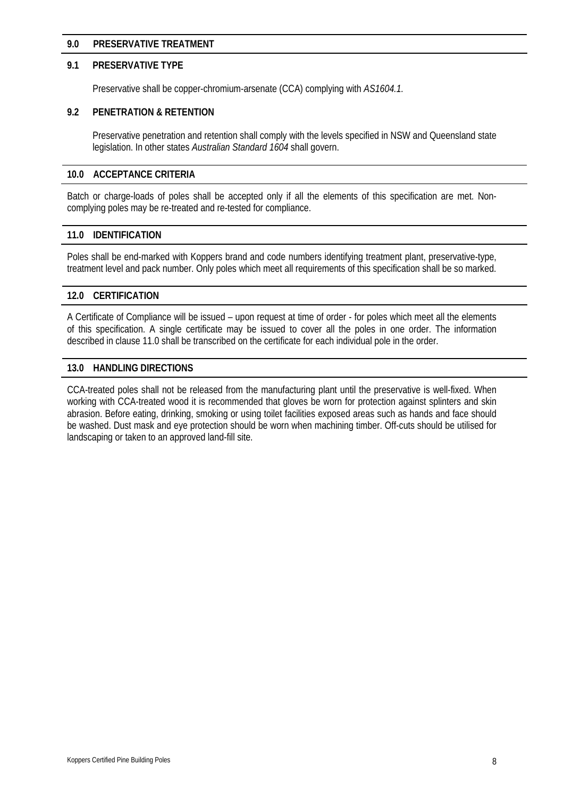#### **9.0 PRESERVATIVE TREATMENT**

#### **9.1 PRESERVATIVE TYPE**

Preservative shall be copper-chromium-arsenate (CCA) complying with *AS1604.1.*

#### **9.2 PENETRATION & RETENTION**

 Preservative penetration and retention shall comply with the levels specified in NSW and Queensland state legislation. In other states *Australian Standard 1604* shall govern.

#### **10.0 ACCEPTANCE CRITERIA**

Batch or charge-loads of poles shall be accepted only if all the elements of this specification are met. Noncomplying poles may be re-treated and re-tested for compliance.

#### **11.0 IDENTIFICATION**

Poles shall be end-marked with Koppers brand and code numbers identifying treatment plant, preservative-type, treatment level and pack number. Only poles which meet all requirements of this specification shall be so marked.

#### **12.0 CERTIFICATION**

A Certificate of Compliance will be issued – upon request at time of order - for poles which meet all the elements of this specification. A single certificate may be issued to cover all the poles in one order. The information described in clause 11.0 shall be transcribed on the certificate for each individual pole in the order.

#### **13.0 HANDLING DIRECTIONS**

CCA-treated poles shall not be released from the manufacturing plant until the preservative is well-fixed. When working with CCA-treated wood it is recommended that gloves be worn for protection against splinters and skin abrasion. Before eating, drinking, smoking or using toilet facilities exposed areas such as hands and face should be washed. Dust mask and eye protection should be worn when machining timber. Off-cuts should be utilised for landscaping or taken to an approved land-fill site.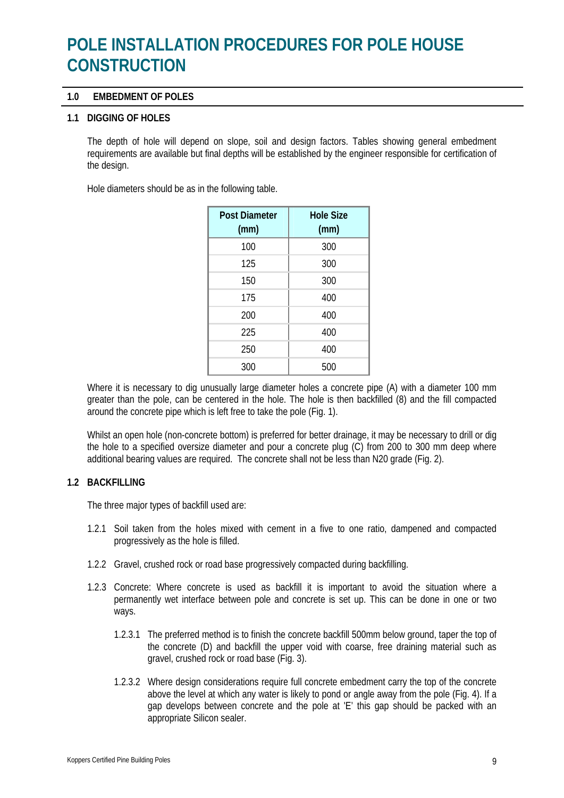## **POLE INSTALLATION PROCEDURES FOR POLE HOUSE CONSTRUCTION**

#### **1.0 EMBEDMENT OF POLES**

#### **1.1 DIGGING OF HOLES**

The depth of hole will depend on slope, soil and design factors. Tables showing general embedment requirements are available but final depths will be established by the engineer responsible for certification of the design.

Hole diameters should be as in the following table.

| <b>Post Diameter</b><br>(mm) | <b>Hole Size</b><br>(mm) |
|------------------------------|--------------------------|
| 100                          | 300                      |
| 125                          | 300                      |
| 150                          | 300                      |
| 175                          | 400                      |
| 200                          | 400                      |
| 225                          | 400                      |
| 250                          | 400                      |
| 300                          | 500                      |

Where it is necessary to dig unusually large diameter holes a concrete pipe (A) with a diameter 100 mm greater than the pole, can be centered in the hole. The hole is then backfilled (8) and the fill compacted around the concrete pipe which is left free to take the pole (Fig. 1).

Whilst an open hole (non-concrete bottom) is preferred for better drainage, it may be necessary to drill or dig the hole to a specified oversize diameter and pour a concrete plug (C) from 200 to 300 mm deep where additional bearing values are required. The concrete shall not be less than N20 grade (Fig. 2).

#### **1.2 BACKFILLlNG**

The three major types of backfill used are:

- 1.2.1 Soil taken from the holes mixed with cement in a five to one ratio, dampened and compacted progressively as the hole is filled.
- 1.2.2 Gravel, crushed rock or road base progressively compacted during backfilling.
- 1.2.3 Concrete: Where concrete is used as backfill it is important to avoid the situation where a permanently wet interface between pole and concrete is set up. This can be done in one or two ways.
	- 1.2.3.1 The preferred method is to finish the concrete backfill 500mm below ground, taper the top of the concrete (D) and backfill the upper void with coarse, free draining material such as gravel, crushed rock or road base (Fig. 3).
	- 1.2.3.2 Where design considerations require full concrete embedment carry the top of the concrete above the level at which any water is likely to pond or angle away from the pole (Fig. 4). If a gap develops between concrete and the pole at 'E' this gap should be packed with an appropriate Silicon sealer.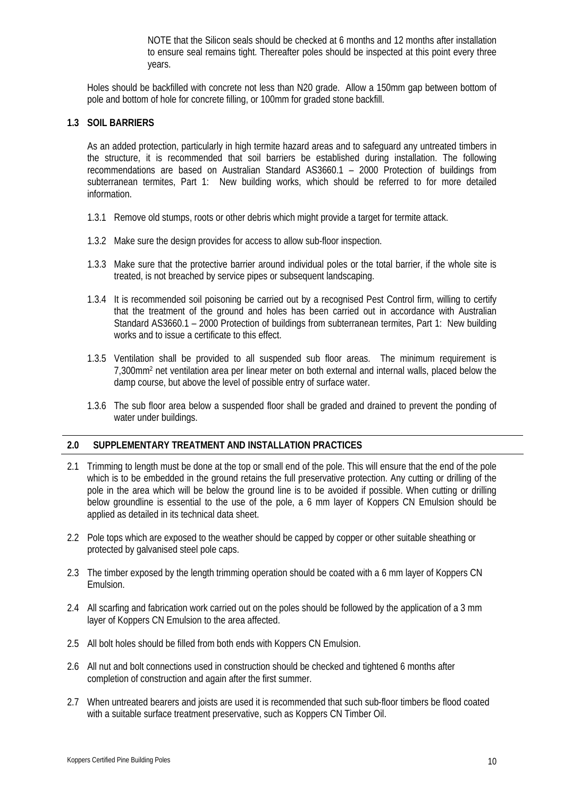NOTE that the Silicon seals should be checked at 6 months and 12 months after installation to ensure seal remains tight. Thereafter poles should be inspected at this point every three years.

Holes should be backfilled with concrete not less than N20 grade. Allow a 150mm gap between bottom of pole and bottom of hole for concrete filling, or 100mm for graded stone backfill.

#### **1.3 SOIL BARRIERS**

 As an added protection, particularly in high termite hazard areas and to safeguard any untreated timbers in the structure, it is recommended that soil barriers be established during installation. The following recommendations are based on Australian Standard AS3660.1 – 2000 Protection of buildings from subterranean termites, Part 1: New building works, which should be referred to for more detailed information.

- 1.3.1 Remove old stumps, roots or other debris which might provide a target for termite attack.
- 1.3.2 Make sure the design provides for access to allow sub-floor inspection.
- 1.3.3 Make sure that the protective barrier around individual poles or the total barrier, if the whole site is treated, is not breached by service pipes or subsequent landscaping.
- 1.3.4 It is recommended soil poisoning be carried out by a recognised Pest Control firm, willing to certify that the treatment of the ground and holes has been carried out in accordance with Australian Standard AS3660.1 – 2000 Protection of buildings from subterranean termites, Part 1: New building works and to issue a certificate to this effect.
- 1.3.5 Ventilation shall be provided to all suspended sub floor areas. The minimum requirement is 7,300mm2 net ventilation area per linear meter on both external and internal walls, placed below the damp course, but above the level of possible entry of surface water.
- 1.3.6 The sub floor area below a suspended floor shall be graded and drained to prevent the ponding of water under buildings.

#### **2.0 SUPPLEMENTARY TREATMENT AND INSTALLATION PRACTICES**

- 2.1 Trimming to length must be done at the top or small end of the pole. This will ensure that the end of the pole which is to be embedded in the ground retains the full preservative protection. Any cutting or drilling of the pole in the area which will be below the ground line is to be avoided if possible. When cutting or drilling below groundline is essential to the use of the pole, a 6 mm layer of Koppers CN Emulsion should be applied as detailed in its technical data sheet.
- 2.2 Pole tops which are exposed to the weather should be capped by copper or other suitable sheathing or protected by galvanised steel pole caps.
- 2.3 The timber exposed by the length trimming operation should be coated with a 6 mm layer of Koppers CN Emulsion.
- 2.4 All scarfing and fabrication work carried out on the poles should be followed by the application of a 3 mm layer of Koppers CN Emulsion to the area affected.
- 2.5 All bolt holes should be filled from both ends with Koppers CN Emulsion.
- 2.6 All nut and bolt connections used in construction should be checked and tightened 6 months after completion of construction and again after the first summer.
- 2.7 When untreated bearers and joists are used it is recommended that such sub-floor timbers be flood coated with a suitable surface treatment preservative, such as Koppers CN Timber Oil.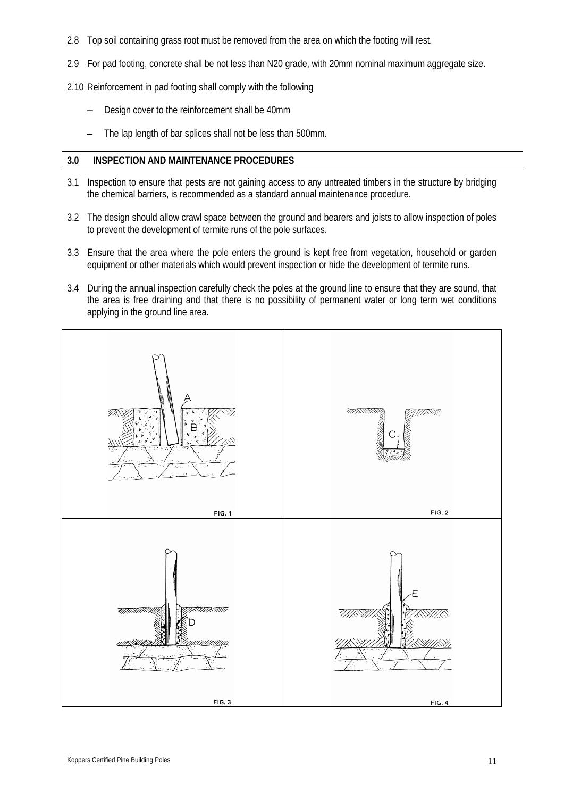- 2.8 Top soil containing grass root must be removed from the area on which the footing will rest.
- 2.9 For pad footing, concrete shall be not less than N20 grade, with 20mm nominal maximum aggregate size.
- 2.10 Reinforcement in pad footing shall comply with the following
	- Design cover to the reinforcement shall be 40mm
	- The lap length of bar splices shall not be less than 500mm.

#### **3.0 INSPECTION AND MAINTENANCE PROCEDURES**

- 3.1 Inspection to ensure that pests are not gaining access to any untreated timbers in the structure by bridging the chemical barriers, is recommended as a standard annual maintenance procedure.
- 3.2 The design should allow crawl space between the ground and bearers and joists to allow inspection of poles to prevent the development of termite runs of the pole surfaces.
- 3.3 Ensure that the area where the pole enters the ground is kept free from vegetation, household or garden equipment or other materials which would prevent inspection or hide the development of termite runs.
- 3.4 During the annual inspection carefully check the poles at the ground line to ensure that they are sound, that the area is free draining and that there is no possibility of permanent water or long term wet conditions applying in the ground line area.